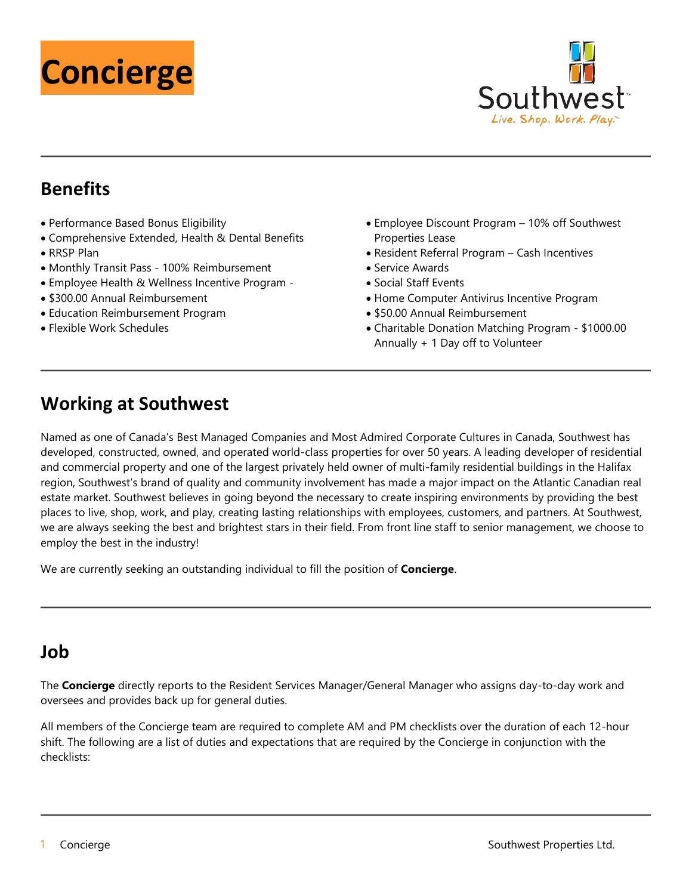



### **Benefits**

- Performance Based Bonus Eligibility
- Comprehensive Extended, Health & Dental Benefits • RRSP Plan
- Monthly Transit Pass 100% Reimbursement
- Employee Health & Wellness Incentive Program -
- \$300.00 Annual Reimbursement
- Education Reimbursement Program
- Flexible Work Schedules
- Employee Discount Program 10% off Southwest Properties Lease
- Resident Referral Program Cash Incentives
- Service Awards
- Social Staff Events
- Home Computer Antivirus Incentive Program
- \$50.00 Annual Reimbursement
- Charitable Donation Matching Program \$1000.00 Annually + 1 Day off to Volunteer

## **Working at Southwest**

Named as one of Canada's Best Managed Companies and Most Admired Corporate Cultures in Canada, Southwest has developed, constructed, owned, and operated world-class properties for over 50 years. A leading developer of residential and commercial property and one of the largest privately held owner of multi-family residential buildings in the Halifax region, Southwest's brand of quality and community involvement has made a major impact on the Atlantic Canadian real estate market. Southwest believes in going beyond the necessary to create inspiring environments by providing the best places to live, shop, work, and play, creating lasting relationships with employees, customers, and partners. At Southwest, we are always seeking the best and brightest stars in their field. From front line staff to senior management, we choose to employ the best in the industry!

We are currently seeking an outstanding individual to fill the position of **Concierge**.

### **Job**

The **Concierge** directly reports to the Resident Services Manager/General Manager who assigns day-to-day work and oversees and provides back up for general duties.

All members of the Concierge team are required to complete AM and PM checklists over the duration of each 12-hour shift. The following are a list of duties and expectations that are required by the Concierge in conjunction with the checklists: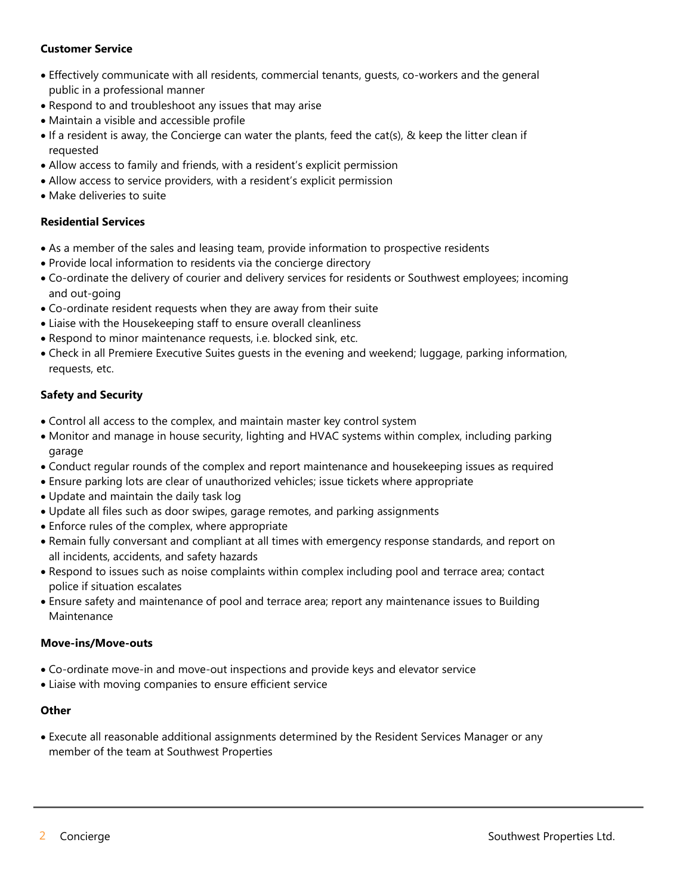### **Customer Service**

- Effectively communicate with all residents, commercial tenants, guests, co-workers and the general public in a professional manner
- Respond to and troubleshoot any issues that may arise
- Maintain a visible and accessible profile
- If a resident is away, the Concierge can water the plants, feed the cat(s), & keep the litter clean if requested
- Allow access to family and friends, with a resident's explicit permission
- Allow access to service providers, with a resident's explicit permission
- Make deliveries to suite

#### **Residential Services**

- As a member of the sales and leasing team, provide information to prospective residents
- Provide local information to residents via the concierge directory
- Co-ordinate the delivery of courier and delivery services for residents or Southwest employees; incoming and out-going
- Co-ordinate resident requests when they are away from their suite
- Liaise with the Housekeeping staff to ensure overall cleanliness
- Respond to minor maintenance requests, i.e. blocked sink, etc.
- Check in all Premiere Executive Suites guests in the evening and weekend; luggage, parking information, requests, etc.

#### **Safety and Security**

- Control all access to the complex, and maintain master key control system
- Monitor and manage in house security, lighting and HVAC systems within complex, including parking garage
- Conduct regular rounds of the complex and report maintenance and housekeeping issues as required
- Ensure parking lots are clear of unauthorized vehicles; issue tickets where appropriate
- Update and maintain the daily task log
- Update all files such as door swipes, garage remotes, and parking assignments
- Enforce rules of the complex, where appropriate
- Remain fully conversant and compliant at all times with emergency response standards, and report on all incidents, accidents, and safety hazards
- Respond to issues such as noise complaints within complex including pool and terrace area; contact police if situation escalates
- Ensure safety and maintenance of pool and terrace area; report any maintenance issues to Building Maintenance

#### **Move-ins/Move-outs**

- Co-ordinate move-in and move-out inspections and provide keys and elevator service
- Liaise with moving companies to ensure efficient service

#### **Other**

• Execute all reasonable additional assignments determined by the Resident Services Manager or any member of the team at Southwest Properties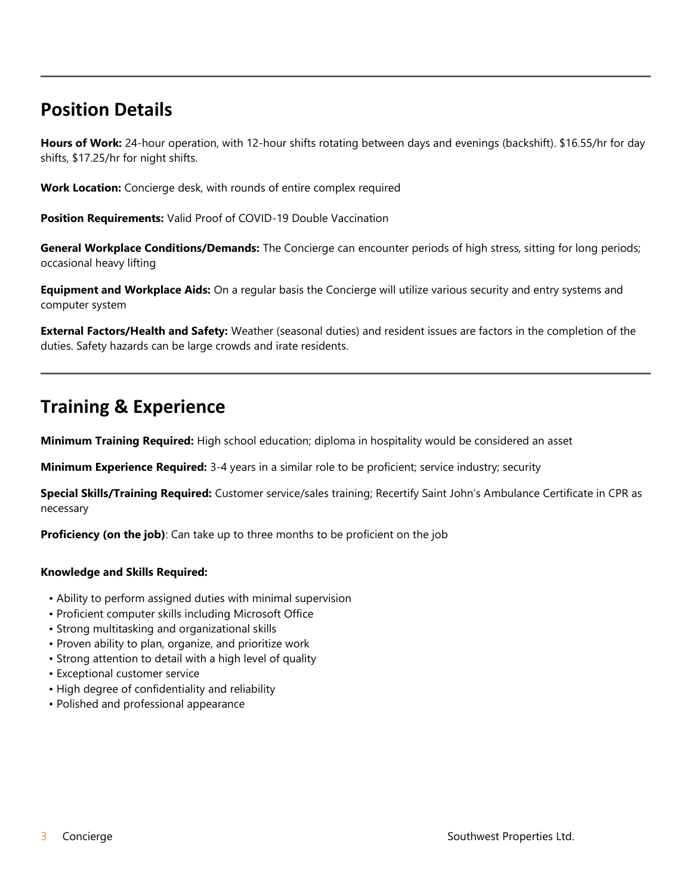# **Position Details**

**Hours of Work:** 24-hour operation, with 12-hour shifts rotating between days and evenings (backshift). \$16.55/hr for day shifts, \$17.25/hr for night shifts.

**Work Location:** Concierge desk, with rounds of entire complex required

**Position Requirements:** Valid Proof of COVID-19 Double Vaccination

**General Workplace Conditions/Demands:** The Concierge can encounter periods of high stress, sitting for long periods; occasional heavy lifting

**Equipment and Workplace Aids:** On a regular basis the Concierge will utilize various security and entry systems and computer system

**External Factors/Health and Safety:** Weather (seasonal duties) and resident issues are factors in the completion of the duties. Safety hazards can be large crowds and irate residents.

### **Training & Experience**

**Minimum Training Required:** High school education; diploma in hospitality would be considered an asset

**Minimum Experience Required:** 3-4 years in a similar role to be proficient; service industry; security

**Special Skills/Training Required:** Customer service/sales training; Recertify Saint John's Ambulance Certificate in CPR as necessary

**Proficiency (on the job)**: Can take up to three months to be proficient on the job

#### **Knowledge and Skills Required:**

- Ability to perform assigned duties with minimal supervision
- Proficient computer skills including Microsoft Office
- Strong multitasking and organizational skills
- Proven ability to plan, organize, and prioritize work
- Strong attention to detail with a high level of quality
- Exceptional customer service
- High degree of confidentiality and reliability
- Polished and professional appearance